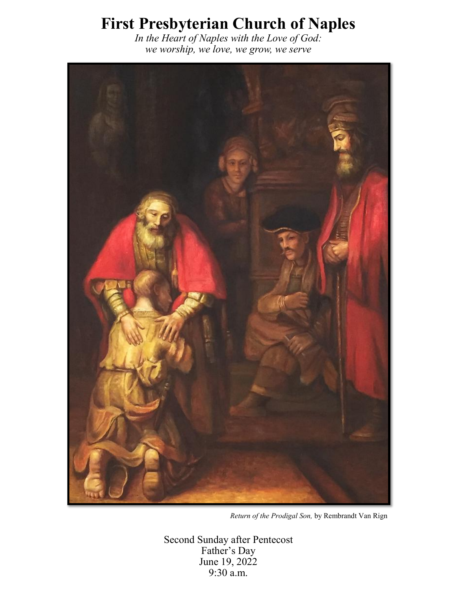# **First Presbyterian Church of Naples**

*In the Heart of Naples with the Love of God: we worship, we love, we grow, we serve*



*Return of the Prodigal Son,* by Rembrandt Van Rign

Second Sunday after Pentecost Father's Day June 19, 2022 9:30 a.m.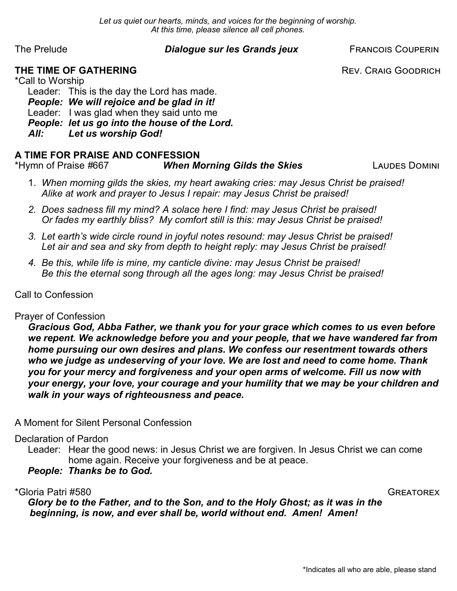*Let us quiet our hearts, minds, and voices for the beginning of worship. At this time, please silence all cell phones.*

# The Prelude *Dialogue sur les Grands jeux* FRANCOIS COUPERIN

**THE TIME OF GATHERING REV. CRAIG GOODRICH** 

\*Call to Worship Leader: This is the day the Lord has made. *People: We will rejoice and be glad in it!* Leader: I was glad when they said unto me *People: let us go into the house of the Lord. All: Let us worship God!* 

# **A TIME FOR PRAISE AND CONFESSION**

\*Hymn of Praise *#*667 *When Morning Gilds the Skies* Laudes Domini

- 1. *When morning gilds the skies, my heart awaking cries: may Jesus Christ be praised! Alike at work and prayer to Jesus I repair: may Jesus Christ be praised!*
- *2. Does sadness fill my mind? A solace here I find: may Jesus Christ be praised! Or fades my earthly bliss? My comfort still is this: may Jesus Christ be praised!*
- *3. Let earth's wide circle round in joyful notes resound: may Jesus Christ be praised! Let air and sea and sky from depth to height reply: may Jesus Christ be praised!*
- *4. Be this, while life is mine, my canticle divine: may Jesus Christ be praised! Be this the eternal song through all the ages long: may Jesus Christ be praised!*

Call to Confession

# Prayer of Confession

*Gracious God, Abba Father, we thank you for your grace which comes to us even before we repent. We acknowledge before you and your people, that we have wandered far from home pursuing our own desires and plans. We confess our resentment towards others who we judge as undeserving of your love. We are lost and need to come home. Thank you for your mercy and forgiveness and your open arms of welcome. Fill us now with your energy, your love, your courage and your humility that we may be your children and walk in your ways of righteousness and peace.* 

A Moment for Silent Personal Confession

Declaration of Pardon

Leader: Hear the good news: in Jesus Christ we are forgiven. In Jesus Christ we can come home again. Receive your forgiveness and be at peace.

*People: Thanks be to God.*

\*Gloria Patri #580 Greatorex

*Glory be to the Father, and to the Son, and to the Holy Ghost; as it was in the beginning, is now, and ever shall be, world without end. Amen! Amen!*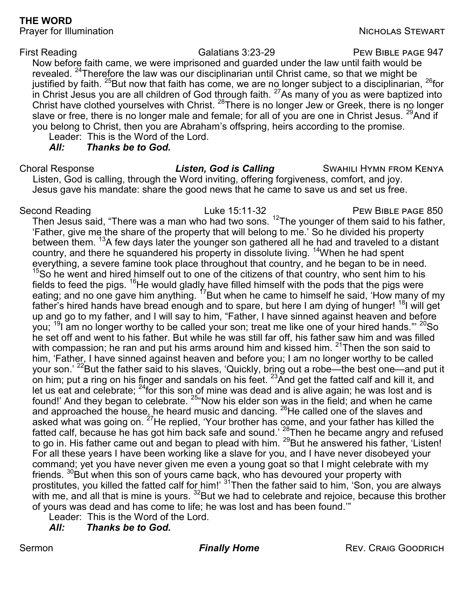# **THE WORD**

Prayer for Illumination Nicholas Stewart Nicholas Stewart

First Reading **Example 2018** Galatians 3:23-29 **PEW BIBLE PAGE 947** 

Now before faith came, we were imprisoned and guarded under the law until faith would be revealed. <sup>24</sup>Therefore the law was our disciplinarian until Christ came, so that we might be justified by faith.  $^{25}$ But now that faith has come, we are no longer subject to a disciplinarian,  $^{26}$ for in Christ Jesus you are all children of God through faith.  $27$ As many of you as were baptized into Christ have clothed yourselves with Christ. <sup>28</sup>There is no longer Jew or Greek, there is no longer slave or free, there is no longer male and female; for all of you are one in Christ Jesus. <sup>29</sup>And if you belong to Christ, then you are Abraham's offspring, heirs according to the promise.

Leader: This is the Word of the Lord.

*All: Thanks be to God.*

Choral Response *Listen, God is Calling* SWAHILI HYMN FROM KENYA Listen, God is calling, through the Word inviting, offering forgiveness, comfort, and joy. Jesus gave his mandate: share the good news that he came to save us and set us free.

Second Reading The Contract Current Luke 15:11-32 PEW BIBLE PAGE 850 Then Jesus said, "There was a man who had two sons.  $^{12}$ The younger of them said to his father, 'Father, give me the share of the property that will belong to me.' So he divided his property between them. <sup>13</sup>A few days later the younger son gathered all he had and traveled to a distant country, and there he squandered his property in dissolute living. <sup>14</sup>When he had spent everything, a severe famine took place throughout that country, and he began to be in need.  $15$ So he went and hired himself out to one of the citizens of that country, who sent him to his fields to feed the pigs.  $^{16}$ He would gladly have filled himself with the pods that the pigs were eating; and no one gave him anything. <sup>17</sup>But when he came to himself he said, 'How many of my father's hired hands have bread enough and to spare, but here I am dying of hunger! <sup>18</sup>I will get up and go to my father, and I will say to him, "Father, I have sinned against heaven and before you; <sup>19</sup>I am no longer worthy to be called your son; treat me like one of your hired hands."' <sup>20</sup>So he set off and went to his father. But while he was still far off, his father saw him and was filled with compassion; he ran and put his arms around him and kissed him. <sup>21</sup>Then the son said to him, 'Father, I have sinned against heaven and before you; I am no longer worthy to be called your son.' <sup>22</sup>But the father said to his slaves, 'Quickly, bring out a robe—the best one—and put it on him; put a ring on his finger and sandals on his feet.  $^{23}$ And get the fatted calf and kill it, and let us eat and celebrate;  $^{24}$ for this son of mine was dead and is alive again; he was lost and is found!' And they began to celebrate. <sup>25</sup>"Now his elder son was in the field; and when he came and approached the house, he heard music and dancing.  $^{26}$ He called one of the slaves and asked what was going on.  $^{27}$ He replied, 'Your brother has come, and your father has killed the fatted calf, because he has got him back safe and sound.' <sup>28</sup>Then he became angry and refused to go in. His father came out and began to plead with him.  $^{29}$ But he answered his father, 'Listen! For all these years I have been working like a slave for you, and I have never disobeyed your command; yet you have never given me even a young goat so that I might celebrate with my friends. <sup>30</sup>But when this son of yours came back, who has devoured your property with prostitutes, you killed the fatted calf for him!' <sup>31</sup>Then the father said to him, 'Son, you are always with me, and all that is mine is yours.  $^{\rm 32}$ But we had to celebrate and rejoice, because this brother of yours was dead and has come to life; he was lost and has been found.'"

Leader: This is the Word of the Lord.

*All: Thanks be to God.*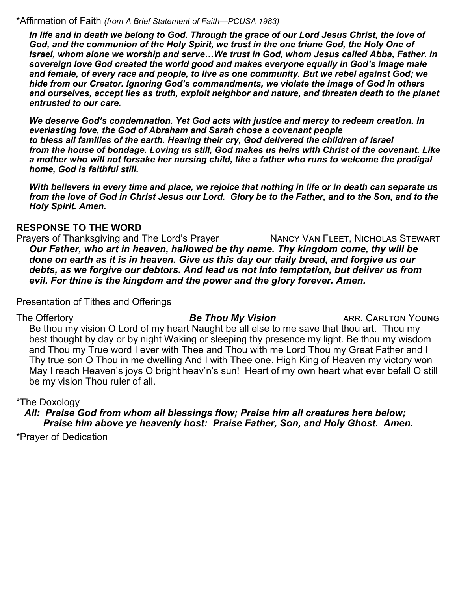#### \*Affirmation of Faith *(from A Brief Statement of Faith—PCUSA 1983)*

*In life and in death we belong to God. Through the grace of our Lord Jesus Christ, the love of God, and the communion of the Holy Spirit, we trust in the one triune God, the Holy One of Israel, whom alone we worship and serve…We trust in God, whom Jesus called Abba, Father. In sovereign love God created the world good and makes everyone equally in God's image male and female, of every race and people, to live as one community. But we rebel against God; we hide from our Creator. Ignoring God's commandments, we violate the image of God in others and ourselves, accept lies as truth, exploit neighbor and nature, and threaten death to the planet entrusted to our care.*

*We deserve God's condemnation. Yet God acts with justice and mercy to redeem creation. In everlasting love, the God of Abraham and Sarah chose a covenant people to bless all families of the earth. Hearing their cry, God delivered the children of Israel from the house of bondage. Loving us still, God makes us heirs with Christ of the covenant. Like a mother who will not forsake her nursing child, like a father who runs to welcome the prodigal home, God is faithful still.*

*With believers in every time and place, we rejoice that nothing in life or in death can separate us from the love of God in Christ Jesus our Lord. Glory be to the Father, and to the Son, and to the Holy Spirit. Amen.*

# **RESPONSE TO THE WORD**

Prayers of Thanksgiving and The Lord's Prayer NANCY VAN FLEET, NICHOLAS STEWART *Our Father, who art in heaven, hallowed be thy name. Thy kingdom come, thy will be done on earth as it is in heaven. Give us this day our daily bread, and forgive us our debts, as we forgive our debtors. And lead us not into temptation, but deliver us from evil. For thine is the kingdom and the power and the glory forever. Amen.*

Presentation of Tithes and Offerings

The Offertory **Be Thou My Vision** ARR. CARLTON YOUNG Be thou my vision O Lord of my heart Naught be all else to me save that thou art. Thou my best thought by day or by night Waking or sleeping thy presence my light. Be thou my wisdom and Thou my True word I ever with Thee and Thou with me Lord Thou my Great Father and I Thy true son O Thou in me dwelling And I with Thee one. High King of Heaven my victory won May I reach Heaven's joys O bright heav'n's sun! Heart of my own heart what ever befall O still be my vision Thou ruler of all.

# \*The Doxology

 *All: Praise God from whom all blessings flow; Praise him all creatures here below; Praise him above ye heavenly host: Praise Father, Son, and Holy Ghost. Amen.*

\*Prayer of Dedication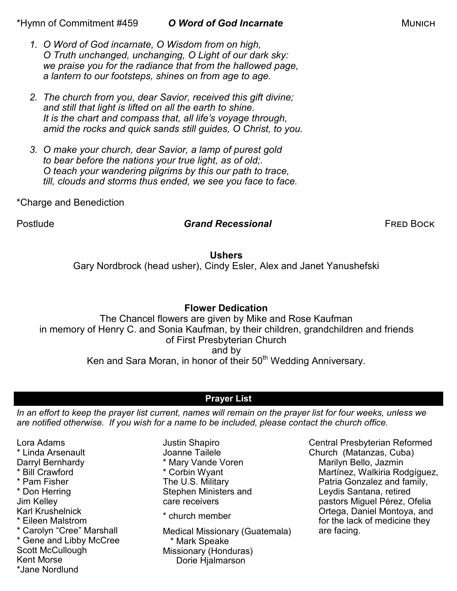\*Hymn of Commitment #459 *O Word of God Incarnate* Munich

- *1. O Word of God incarnate, O Wisdom from on high, O Truth unchanged, unchanging, O Light of our dark sky: we praise you for the radiance that from the hallowed page, a lantern to our footsteps, shines on from age to age.*
- *2. The church from you, dear Savior, received this gift divine; and still that light is lifted on all the earth to shine. It is the chart and compass that, all life's voyage through, amid the rocks and quick sands still guides, O Christ, to you.*
- *3. O make your church, dear Savior, a lamp of purest gold to bear before the nations your true light, as of old;. O teach your wandering pilgrims by this our path to trace, till, clouds and storms thus ended, we see you face to face.*

\*Charge and Benediction

# Postlude *Grand Recessional* Fred Bock

# **Ushers**

Gary Nordbrock (head usher), Cindy Esler, Alex and Janet Yanushefski

# **Flower Dedication**

The Chancel flowers are given by Mike and Rose Kaufman in memory of Henry C. and Sonia Kaufman, by their children, grandchildren and friends of First Presbyterian Church and by Ken and Sara Moran, in honor of their 50<sup>th</sup> Wedding Anniversary.

# **Prayer List**

*In an effort to keep the prayer list current, names will remain on the prayer list for four weeks, unless we are notified otherwise. If you wish for a name to be included, please contact the church office.*

Lora Adams \* Linda Arsenault Darryl Bernhardy \* Bill Crawford \* Pam Fisher \* Don Herring Jim Kelley Karl Krushelnick \* Eileen Malstrom \* Carolyn "Cree" Marshall \* Gene and Libby McCree Scott McCullough Kent Morse \*Jane Nordlund

Justin Shapiro Joanne Tailele \* Mary Vande Voren \* Corbin Wyant The U.S. Military Stephen Ministers and care receivers

\* church member

Medical Missionary (Guatemala) \* Mark Speake Missionary (Honduras) Dorie Hjalmarson

Central Presbyterian Reformed Church (Matanzas, Cuba) Marilyn Bello, Jazmin Martínez, Walkiria Rodgíguez, Patria Gonzalez and family, Leydis Santana, retired pastors Miguel Pérez, Ofelia Ortega, Daniel Montoya, and for the lack of medicine they are facing.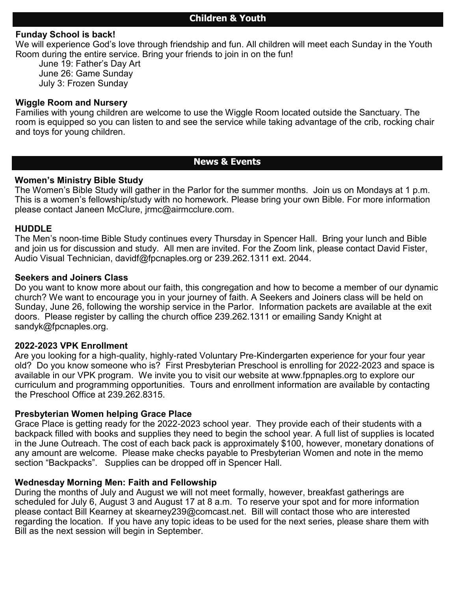# **Children & Youth**

### **Funday School is back!**

We will experience God's love through friendship and fun. All children will meet each Sunday in the Youth Room during the entire service. Bring your friends to join in on the fun!

June 19: Father's Day Art June 26: Game Sunday July 3: Frozen Sunday

#### **Wiggle Room and Nursery**

Families with young children are welcome to use the Wiggle Room located outside the Sanctuary. The room is equipped so you can listen to and see the service while taking advantage of the crib, rocking chair and toys for young children.

# **News & Events**

#### **Women's Ministry Bible Study**

The Women's Bible Study will gather in the Parlor for the summer months. Join us on Mondays at 1 p.m. This is a women's fellowship/study with no homework. Please bring your own Bible. For more information please contact Janeen McClure, jrmc@airmcclure.com.

#### **HUDDLE**

The Men's noon-time Bible Study continues every Thursday in Spencer Hall. Bring your lunch and Bible and join us for discussion and study. All men are invited. For the Zoom link, please contact David Fister, Audio Visual Technician, davidf@fpcnaples.org or 239.262.1311 ext. 2044.

#### **Seekers and Joiners Class**

Do you want to know more about our faith, this congregation and how to become a member of our dynamic church? We want to encourage you in your journey of faith. A Seekers and Joiners class will be held on Sunday, June 26, following the worship service in the Parlor. Information packets are available at the exit doors. Please register by calling the church office 239.262.1311 or emailing Sandy Knight at sandyk@fpcnaples.org.

#### **2022-2023 VPK Enrollment**

Are you looking for a high-quality, highly-rated Voluntary Pre-Kindergarten experience for your four year old? Do you know someone who is? First Presbyterian Preschool is enrolling for 2022-2023 and space is available in our VPK program. We invite you to visit our website at [www.fppnaples.org](http://www.fppnaples.org) to explore our curriculum and programming opportunities. Tours and enrollment information are available by contacting the Preschool Office at 239.262.8315.

#### **Presbyterian Women helping Grace Place**

Grace Place is getting ready for the 2022-2023 school year. They provide each of their students with a backpack filled with books and supplies they need to begin the school year. A full list of supplies is located in the June Outreach. The cost of each back pack is approximately \$100, however, monetary donations of any amount are welcome. Please make checks payable to Presbyterian Women and note in the memo section "Backpacks". Supplies can be dropped off in Spencer Hall.

#### **Wednesday Morning Men: Faith and Fellowship**

During the months of July and August we will not meet formally, however, breakfast gatherings are scheduled for July 6, August 3 and August 17 at 8 a.m. To reserve your spot and for more information please contact Bill Kearney at [skearney239@comcast.net.](mailto:skearney239@comcast.net) Bill will contact those who are interested regarding the location. If you have any topic ideas to be used for the next series, please share them with Bill as the next session will begin in September.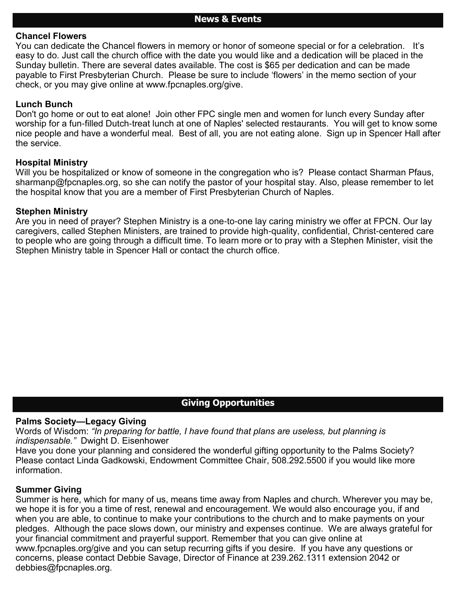#### **Chancel Flowers**

You can dedicate the Chancel flowers in memory or honor of someone special or for a celebration. It's easy to do. Just call the church office with the date you would like and a dedication will be placed in the Sunday bulletin. There are several dates available. The cost is \$65 per dedication and can be made payable to First Presbyterian Church. Please be sure to include 'flowers' in the memo section of your check, or you may give online at [www.fpcnaples.org/give.](http://www.fpcnaples.org/give)

#### **Lunch Bunch**

Don't go home or out to eat alone! Join other FPC single men and women for lunch every Sunday after worship for a fun-filled Dutch-treat lunch at one of Naples' selected restaurants. You will get to know some nice people and have a wonderful meal. Best of all, you are not eating alone. Sign up in Spencer Hall after the service.

#### **Hospital Ministry**

Will you be hospitalized or know of someone in the congregation who is? Please contact Sharman Pfaus, sharmanp@fpcnaples.org, so she can notify the pastor of your hospital stay. Also, please remember to let the hospital know that you are a member of First Presbyterian Church of Naples.

#### **Stephen Ministry**

Are you in need of prayer? Stephen Ministry is a one-to-one lay caring ministry we offer at FPCN. Our lay caregivers, called Stephen Ministers, are trained to provide high-quality, confidential, Christ-centered care to people who are going through a difficult time. To learn more or to pray with a Stephen Minister, visit the Stephen Ministry table in Spencer Hall or contact the church office.

### **Giving Opportunities**

#### **Palms Society—Legacy Giving**

Words of Wisdom: *"In preparing for battle, I have found that plans are useless, but planning is indispensable."* Dwight D. Eisenhower

Have you done your planning and considered the wonderful gifting opportunity to the Palms Society? Please contact Linda Gadkowski, Endowment Committee Chair, 508.292.5500 if you would like more information.

#### **Summer Giving**

Summer is here, which for many of us, means time away from Naples and church. Wherever you may be, we hope it is for you a time of rest, renewal and encouragement. We would also encourage you, if and when you are able, to continue to make your contributions to the church and to make payments on your pledges. Although the pace slows down, our ministry and expenses continue. We are always grateful for your financial commitment and prayerful support. Remember that you can give online at [www.fpcnaples.org/give](http://www.fpcnaples.org/give) and you can setup recurring gifts if you desire. If you have any questions or concerns, please contact Debbie Savage, Director of Finance at 239.262.1311 extension 2042 or debbies@fpcnaples.org.